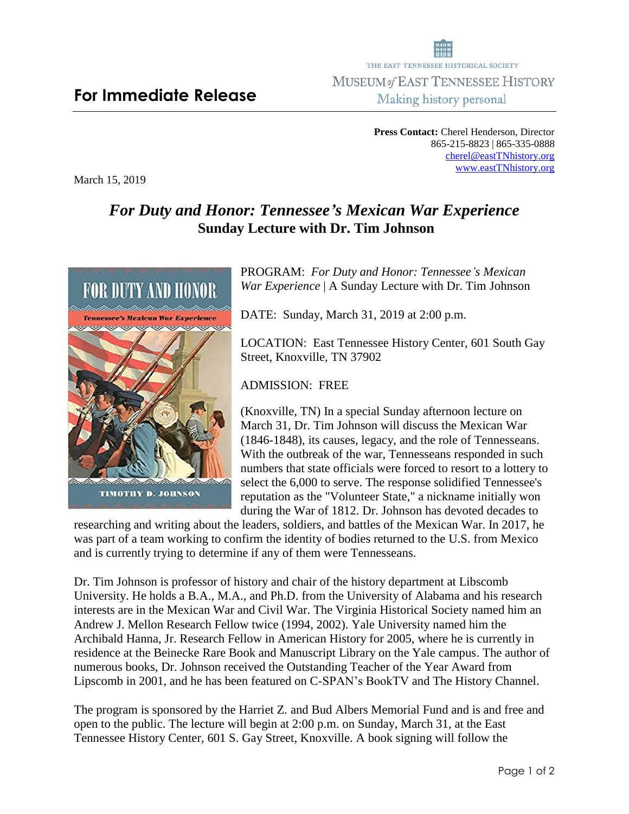## THE EAST TENNESSEE HISTORICAL SOCIETY MUSEUM of EAST TENNESSEE HISTORY Making history personal

**Press Contact:** Cherel Henderson, Director 865-215-8823 | 865-335-0888 [cherel@eastTNhistory.org](mailto:cherel@eastTNhistory.org) [www.eastTNhistory.org](http://www.easttnhistory.org/)

## *For Duty and Honor: Tennessee's Mexican War Experience* **Sunday Lecture with Dr. Tim Johnson**

PROGRAM: *For Duty and Honor: Tennessee's Mexican War Experience* | A Sunday Lecture with Dr. Tim Johnson

DATE: Sunday, March 31, 2019 at 2:00 p.m.

LOCATION: East Tennessee History Center, 601 South Gay Street, Knoxville, TN 37902

ADMISSION: FREE

(Knoxville, TN) In a special Sunday afternoon lecture on March 31, Dr. Tim Johnson will discuss the Mexican War (1846-1848), its causes, legacy, and the role of Tennesseans. With the outbreak of the war, Tennesseans responded in such numbers that state officials were forced to resort to a lottery to select the 6,000 to serve. The response solidified Tennessee's reputation as the "Volunteer State," a nickname initially won during the War of 1812. Dr. Johnson has devoted decades to

researching and writing about the leaders, soldiers, and battles of the Mexican War. In 2017, he was part of a team working to confirm the identity of bodies returned to the U.S. from Mexico and is currently trying to determine if any of them were Tennesseans.

Dr. Tim Johnson is professor of history and chair of the history department at Libscomb University. He holds a B.A., M.A., and Ph.D. from the University of Alabama and his research interests are in the Mexican War and Civil War. The Virginia Historical Society named him an Andrew J. Mellon Research Fellow twice (1994, 2002). Yale University named him the Archibald Hanna, Jr. Research Fellow in American History for 2005, where he is currently in residence at the Beinecke Rare Book and Manuscript Library on the Yale campus. The author of numerous books, Dr. Johnson received the Outstanding Teacher of the Year Award from Lipscomb in 2001, and he has been featured on C-SPAN's BookTV and The History Channel.

The program is sponsored by the Harriet Z. and Bud Albers Memorial Fund and is and free and open to the public. The lecture will begin at 2:00 p.m. on Sunday, March 31, at the East Tennessee History Center, 601 S. Gay Street, Knoxville. A book signing will follow the



March 15, 2019

**For Immediate Release**